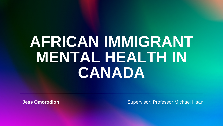#### Supervisor: Professor Michael Haan

# **AFRICAN IMMIGRANT MENTAL HEALTH IN CANADA**

**Jess Omorodion**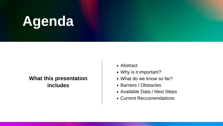## **Agenda**

#### **What this presentation includes**

- Abstract
- 
- 
- 
- 
- 

• Why is it important?

• What do we know so far?

• Barriers / Obstacles

Available Data / Next Steps

Current Reccomendations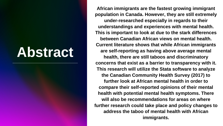### **Abstract**

**African immigrants are the fastest growing immigrant population in Canada. However, they are still extremely under-researched especially in regards to their understandings and experiences with mental health. This is important to look at due to the stark differences between Canadian African views on mental health. Current literature shows that while African immigrants are self-reporting as having above average mental health, there are still taboos and discriminatory concerns that exist as a barrier to transparency with it. This research will utilize the Stata software to analyze the Canadian Community Health Survey (2017) to further look at African mental health in order to compare their self-reported opinions of their mental health with potential mental health symptoms. There will also be recommendations for areas on where further research could take place and policy changes to address the taboo of mental health with African immigrants.**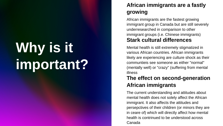# **Why is it important?**

#### **African immigrants are a fastly growing**

African immigrants are the fastest growing immigrant group in Canada but are still severely underresearched in comparison to other immigrant groups (i.e. Chinese immigrants) **Stark cultural differences**

Mental health is still extremely stigmatized in various African countries. African immigrants likely are experiencing are culture shock as their communtieis see someone as either "normal" (mentally well) or "crazy" (suffering from mental illness **The effect on second-generation**

The current understanding and attitudes about mental health does not solely affect the African immigrant. It also affects the attitudes and persepctives of their children (or minors they are in ceare of) which will directly affect how mental health is contrinued to be understood across Canada

## **African immigrants**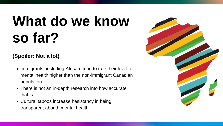# **What do we know so far?**

**(Spoiler: Not a lot)**

- Immigrants, including African, tend to rate their level of mental health higher than the non-immigrant Canadian population
- There is not an in-depth research into how accurate that is
- Cultural taboos increase hesistancy in being transparent abouth mental health

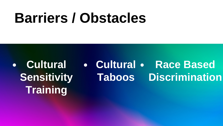## **Barriers / Obstacles**

### **Cultural** • Cultural • Race Based **Sensitivity Taboos DiscriminationTraining**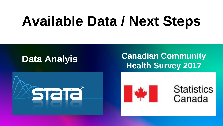# **Available Data / Next Steps**



#### **Data Analyis Canadian Community Health Survey 2017**



**Statistics** Canada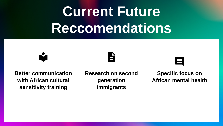**Better communication with African cultural sensitivity training**

## **Current Future Reccomendations**





**Research on second generation immigrants**



#### **Specific focus on African mental health**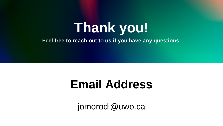#### **Thank you! Feel free to reach out to us if you have any questions.**

## **Email Address**

jomorodi@uwo.ca